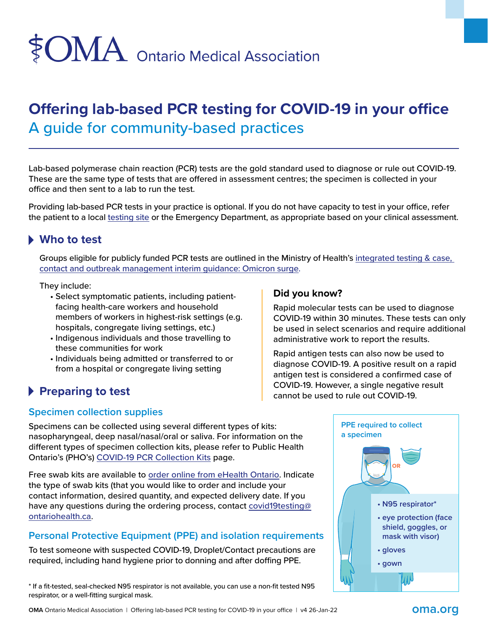# \$OMA Ontario Medical Association

## **Offering lab-based PCR testing for COVID-19 in your office** A guide for community-based practices

Lab-based polymerase chain reaction (PCR) tests are the gold standard used to diagnose or rule out COVID-19. These are the same type of tests that are offered in assessment centres; the specimen is collected in your office and then sent to a lab to run the test.

Providing lab-based PCR tests in your practice is optional. If you do not have capacity to test in your office, refer the patient to a local [testing site](https://covid-19.ontario.ca/assessment-centre-locations) or the Emergency Department, as appropriate based on your clinical assessment.

## **Who to test**

Groups eligible for publicly funded PCR tests are outlined in the Ministry of Health's integrated testing & case, [contact and outbreak management interim guidance: Omicron surge.](https://www.health.gov.on.ca/en/pro/programs/publichealth/coronavirus/docs/contact_mngmt/management_cases_contacts_omicron.pdf)

They include:

- Select symptomatic patients, including patientfacing health-care workers and household members of workers in highest-risk settings (e.g. hospitals, congregate living settings, etc.)
- Indigenous individuals and those travelling to these communities for work
- Individuals being admitted or transferred to or from a hospital or congregate living setting

## **Preparing to test**

#### **Did you know?**

Rapid molecular tests can be used to diagnose COVID-19 within 30 minutes. These tests can only be used in select scenarios and require additional administrative work to report the results.

Rapid antigen tests can also now be used to diagnose COVID-19. A positive result on a rapid antigen test is considered a confirmed case of COVID-19. However, a single negative result cannot be used to rule out COVID-19.

## **Specimen collection supplies**

Specimens can be collected using several different types of kits: nasopharyngeal, deep nasal/nasal/oral or saliva. For information on the different types of specimen collection kits, please refer to Public Health Ontario's (PHO's) [COVID-19 PCR Collection Kits](https://www.publichealthontario.ca/en/laboratory-services/covid-19-pcr-collection-kits) page.

Free swab kits are available to [order online from eHealth Ontario](https://ehealthontario.on.ca/en/health-care-professionals/digital-health-services). Indicate the type of swab kits (that you would like to order and include your contact information, desired quantity, and expected delivery date. If you have any questions during the ordering process, contact [covid19testing@](mailto:covid19testing@ontariohealth.ca) [ontariohealth.ca](mailto:covid19testing@ontariohealth.ca).

## **Personal Protective Equipment (PPE) and isolation requirements**

To test someone with suspected COVID-19, Droplet/Contact precautions are required, including hand hygiene prior to donning and after doffing PPE.

\* If a fit-tested, seal-checked N95 respirator is not available, you can use a non-fit tested N95 respirator, or a well-fitting surgical mask.

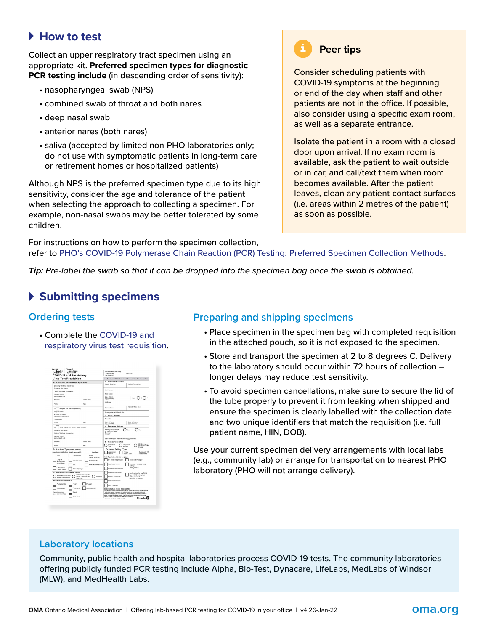## **How to test**

Collect an upper respiratory tract specimen using an appropriate kit. **Preferred specimen types for diagnostic PCR testing include** (in descending order of sensitivity):

- nasopharyngeal swab (NPS)
- combined swab of throat and both nares
- deep nasal swab
- anterior nares (both nares)
- saliva (accepted by limited non-PHO laboratories only; do not use with symptomatic patients in long-term care or retirement homes or hospitalized patients)

Although NPS is the preferred specimen type due to its high sensitivity, consider the age and tolerance of the patient when selecting the approach to collecting a specimen. For example, non-nasal swabs may be better tolerated by some children.

**Peer tips**

#### Consider scheduling patients with COVID-19 symptoms at the beginning or end of the day when staff and other patients are not in the office. If possible, also consider using a specific exam room, as well as a separate entrance.

Isolate the patient in a room with a closed door upon arrival. If no exam room is available, ask the patient to wait outside or in car, and call/text them when room becomes available. After the patient leaves, clean any patient-contact surfaces (i.e. areas within 2 metres of the patient) as soon as possible.

For instructions on how to perform the specimen collection, refer to [PHO's COVID-19 Polymerase Chain Reaction \(PCR\) Testing: Preferred Specimen Collection Methods](https://www.ontariohealth.ca/sites/ontariohealth/files/2021-02/preferred-swab-collection-methods-EN.pdf).

*Tip: Pre-label the swab so that it can be dropped into the specimen bag once the swab is obtained.*

## **Submitting specimens**

#### **Ordering tests**

• Complete the [COVID-19 and](https://www.publichealthontario.ca/-/media/documents/lab/2019-ncov-test-requisition.pdf?sc_lang=en)  [respiratory virus test requisition](https://www.publichealthontario.ca/-/media/documents/lab/2019-ncov-test-requisition.pdf?sc_lang=en).



#### **Preparing and shipping specimens**

- Place specimen in the specimen bag with completed requisition in the attached pouch, so it is not exposed to the specimen.
- Store and transport the specimen at 2 to 8 degrees C. Delivery to the laboratory should occur within 72 hours of collection – longer delays may reduce test sensitivity.
- To avoid specimen cancellations, make sure to secure the lid of the tube properly to prevent it from leaking when shipped and ensure the specimen is clearly labelled with the collection date and two unique identifiers that match the requisition (i.e. full patient name, HIN, DOB).

Use your current specimen delivery arrangements with local labs (e.g., community lab) or arrange for transportation to nearest PHO laboratory (PHO will not arrange delivery).

#### **Laboratory locations**

Community, public health and hospital laboratories process COVID-19 tests. The community laboratories offering publicly funded PCR testing include Alpha, Bio-Test, Dynacare, LifeLabs, MedLabs of Windsor (MLW), and MedHealth Labs.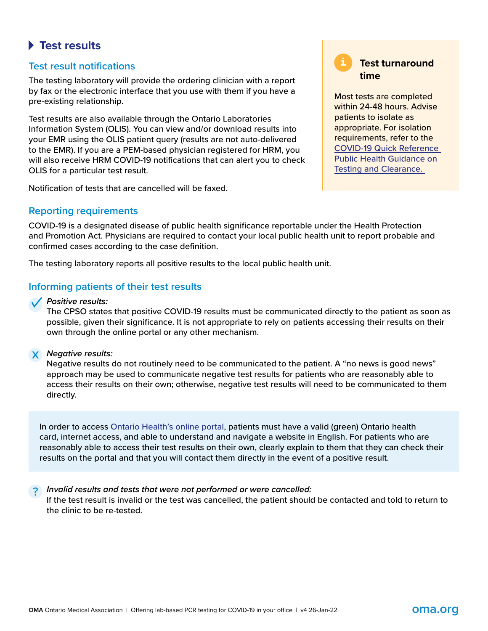## **Test results**

#### **Test result notifications**

The testing laboratory will provide the ordering clinician with a report by fax or the electronic interface that you use with them if you have a pre-existing relationship.

Test results are also available through the Ontario Laboratories Information System (OLIS). You can view and/or download results into your EMR using the OLIS patient query (results are not auto-delivered to the EMR). If you are a PEM-based physician registered for HRM, you will also receive HRM COVID-19 notifications that can alert you to check OLIS for a particular test result.

Notification of tests that are cancelled will be faxed.

#### **Reporting requirements**

COVID-19 is a designated disease of public health significance reportable under the Health Protection and Promotion Act. Physicians are required to contact your local public health unit to report probable and confirmed cases according to the case definition.

The testing laboratory reports all positive results to the local public health unit.

#### **Informing patients of their test results**

*Positive results:*  **✓**

The CPSO states that positive COVID-19 results must be communicated directly to the patient as soon as possible, given their significance. It is not appropriate to rely on patients accessing their results on their own through the online portal or any other mechanism.

## *Negative results:*  x

Negative results do not routinely need to be communicated to the patient. A "no news is good news" approach may be used to communicate negative test results for patients who are reasonably able to access their results on their own; otherwise, negative test results will need to be communicated to them directly.

In order to access [Ontario Health's online portal](https://covid19results.ehealthontario.ca:4443/agree), patients must have a valid (green) Ontario health card, internet access, and able to understand and navigate a website in English. For patients who are reasonably able to access their test results on their own, clearly explain to them that they can check their results on the portal and that you will contact them directly in the event of a positive result.

*Invalid results and tests that were not performed or were cancelled:* ?

If the test result is invalid or the test was cancelled, the patient should be contacted and told to return to the clinic to be re-tested.

**Test turnaround time**

Most tests are completed within 24-48 hours. Advise patients to isolate as appropriate. For isolation requirements, refer to the [COVID-19 Quick Reference](https://www.health.gov.on.ca/en/pro/programs/publichealth/coronavirus/docs/2019_testing_guidance.pdf)  [Public Health Guidance on](https://www.health.gov.on.ca/en/pro/programs/publichealth/coronavirus/docs/2019_testing_guidance.pdf)  [Testing and Clearance.](https://www.health.gov.on.ca/en/pro/programs/publichealth/coronavirus/docs/2019_testing_guidance.pdf)